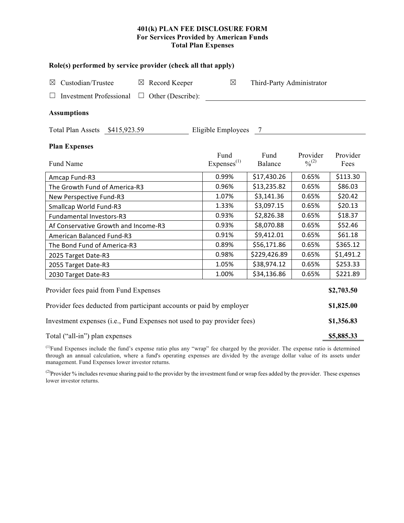## **401(k) PLAN FEE DISCLOSURE FORM For Services Provided by American Funds Total Plan Expenses**

| Role(s) performed by service provider (check all that apply)            |                                          |                 |                         |                  |  |  |  |  |  |
|-------------------------------------------------------------------------|------------------------------------------|-----------------|-------------------------|------------------|--|--|--|--|--|
| Custodian/Trustee<br>$\boxtimes$ Record Keeper<br>$\boxtimes$           | $\boxtimes$<br>Third-Party Administrator |                 |                         |                  |  |  |  |  |  |
| Other (Describe):<br><b>Investment Professional</b><br>$\Box$           |                                          |                 |                         |                  |  |  |  |  |  |
| <b>Assumptions</b>                                                      |                                          |                 |                         |                  |  |  |  |  |  |
| Total Plan Assets \$415,923.59                                          | Eligible Employees 7                     |                 |                         |                  |  |  |  |  |  |
| <b>Plan Expenses</b>                                                    |                                          |                 |                         |                  |  |  |  |  |  |
| Fund Name                                                               | Fund<br>Express <sup>(1)</sup>           | Fund<br>Balance | Provider<br>$0/0^{(2)}$ | Provider<br>Fees |  |  |  |  |  |
| Amcap Fund-R3                                                           | 0.99%                                    | \$17,430.26     | 0.65%                   | \$113.30         |  |  |  |  |  |
| The Growth Fund of America-R3                                           | 0.96%                                    | \$13,235.82     | 0.65%                   | \$86.03          |  |  |  |  |  |
| New Perspective Fund-R3                                                 | 1.07%                                    | \$3,141.36      | 0.65%                   | \$20.42          |  |  |  |  |  |
| Smallcap World Fund-R3                                                  | 1.33%                                    | \$3,097.15      | 0.65%                   | \$20.13          |  |  |  |  |  |
| <b>Fundamental Investors-R3</b>                                         | 0.93%                                    | \$2,826.38      | 0.65%                   | \$18.37          |  |  |  |  |  |
| Af Conservative Growth and Income-R3                                    | 0.93%                                    | \$8,070.88      | 0.65%                   | \$52.46          |  |  |  |  |  |
| <b>American Balanced Fund-R3</b>                                        | 0.91%                                    | \$9,412.01      | 0.65%                   | \$61.18          |  |  |  |  |  |
| The Bond Fund of America-R3                                             | 0.89%                                    | \$56,171.86     | 0.65%                   | \$365.12         |  |  |  |  |  |
| 2025 Target Date-R3                                                     | 0.98%                                    | \$229,426.89    | 0.65%                   | \$1,491.2        |  |  |  |  |  |
| 2055 Target Date-R3                                                     | 1.05%                                    | \$38,974.12     | 0.65%                   | \$253.33         |  |  |  |  |  |
| 2030 Target Date-R3                                                     | 1.00%                                    | \$34,136.86     | 0.65%                   | \$221.89         |  |  |  |  |  |
| Provider fees paid from Fund Expenses                                   |                                          |                 |                         |                  |  |  |  |  |  |
| Provider fees deducted from participant accounts or paid by employer    |                                          |                 |                         |                  |  |  |  |  |  |
| Investment expenses (i.e., Fund Expenses not used to pay provider fees) |                                          |                 |                         |                  |  |  |  |  |  |
| Total ("all-in") plan expenses                                          |                                          |                 |                         |                  |  |  |  |  |  |

 $<sup>(1)</sup>$ Fund Expenses include the fund's expense ratio plus any "wrap" fee charged by the provider. The expense ratio is determined</sup> through an annual calculation, where a fund's operating expenses are divided by the average dollar value of its assets under management. Fund Expenses lower investor returns.

<sup>(2)</sup>Provider % includes revenue sharing paid to the provider by the investment fund or wrap fees added by the provider. These expenses lower investor returns.